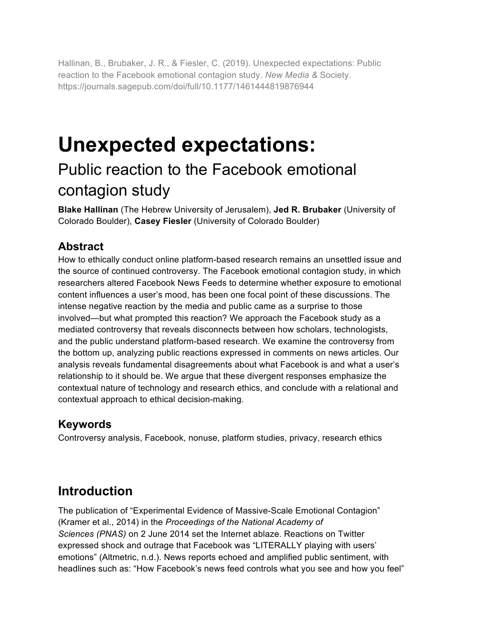Hallinan, B., Brubaker, J. R., & Fiesler, C. (2019). Unexpected expectations: Public reaction to the Facebook emotional contagion study. *New Media &* Society. https://journals.sagepub.com/doi/full/10.1177/1461444819876944

# **Unexpected expectations:**

# Public reaction to the Facebook emotional contagion study

**Blake Hallinan** (The Hebrew University of Jerusalem), **Jed R. Brubaker** (University of Colorado Boulder), **Casey Fiesler** (University of Colorado Boulder)

### **Abstract**

How to ethically conduct online platform-based research remains an unsettled issue and the source of continued controversy. The Facebook emotional contagion study, in which researchers altered Facebook News Feeds to determine whether exposure to emotional content influences a user's mood, has been one focal point of these discussions. The intense negative reaction by the media and public came as a surprise to those involved—but what prompted this reaction? We approach the Facebook study as a mediated controversy that reveals disconnects between how scholars, technologists, and the public understand platform-based research. We examine the controversy from the bottom up, analyzing public reactions expressed in comments on news articles. Our analysis reveals fundamental disagreements about what Facebook is and what a user's relationship to it should be. We argue that these divergent responses emphasize the contextual nature of technology and research ethics, and conclude with a relational and contextual approach to ethical decision-making.

#### **Keywords**

Controversy analysis, Facebook, nonuse, platform studies, privacy, research ethics

# **Introduction**

The publication of "Experimental Evidence of Massive-Scale Emotional Contagion" (Kramer et al., 2014) in the *Proceedings of the National Academy of Sciences (PNAS)* on 2 June 2014 set the Internet ablaze. Reactions on Twitter expressed shock and outrage that Facebook was "LITERALLY playing with users' emotions" (Altmetric, n.d.). News reports echoed and amplified public sentiment, with headlines such as: "How Facebook's news feed controls what you see and how you feel"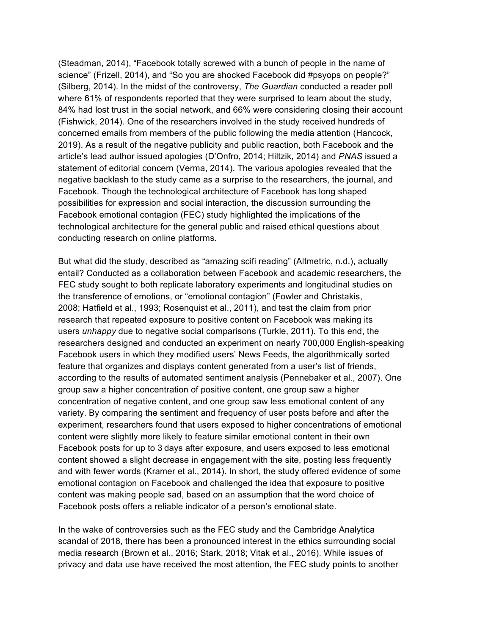(Steadman, 2014), "Facebook totally screwed with a bunch of people in the name of science" (Frizell, 2014), and "So you are shocked Facebook did #psyops on people?" (Silberg, 2014). In the midst of the controversy, *The Guardian* conducted a reader poll where 61% of respondents reported that they were surprised to learn about the study, 84% had lost trust in the social network, and 66% were considering closing their account (Fishwick, 2014). One of the researchers involved in the study received hundreds of concerned emails from members of the public following the media attention (Hancock, 2019). As a result of the negative publicity and public reaction, both Facebook and the article's lead author issued apologies (D'Onfro, 2014; Hiltzik, 2014) and *PNAS* issued a statement of editorial concern (Verma, 2014). The various apologies revealed that the negative backlash to the study came as a surprise to the researchers, the journal, and Facebook. Though the technological architecture of Facebook has long shaped possibilities for expression and social interaction, the discussion surrounding the Facebook emotional contagion (FEC) study highlighted the implications of the technological architecture for the general public and raised ethical questions about conducting research on online platforms.

But what did the study, described as "amazing scifi reading" (Altmetric, n.d.), actually entail? Conducted as a collaboration between Facebook and academic researchers, the FEC study sought to both replicate laboratory experiments and longitudinal studies on the transference of emotions, or "emotional contagion" (Fowler and Christakis, 2008; Hatfield et al., 1993; Rosenquist et al., 2011), and test the claim from prior research that repeated exposure to positive content on Facebook was making its users *unhappy* due to negative social comparisons (Turkle, 2011). To this end, the researchers designed and conducted an experiment on nearly 700,000 English-speaking Facebook users in which they modified users' News Feeds, the algorithmically sorted feature that organizes and displays content generated from a user's list of friends, according to the results of automated sentiment analysis (Pennebaker et al., 2007). One group saw a higher concentration of positive content, one group saw a higher concentration of negative content, and one group saw less emotional content of any variety. By comparing the sentiment and frequency of user posts before and after the experiment, researchers found that users exposed to higher concentrations of emotional content were slightly more likely to feature similar emotional content in their own Facebook posts for up to 3 days after exposure, and users exposed to less emotional content showed a slight decrease in engagement with the site, posting less frequently and with fewer words (Kramer et al., 2014). In short, the study offered evidence of some emotional contagion on Facebook and challenged the idea that exposure to positive content was making people sad, based on an assumption that the word choice of Facebook posts offers a reliable indicator of a person's emotional state.

In the wake of controversies such as the FEC study and the Cambridge Analytica scandal of 2018, there has been a pronounced interest in the ethics surrounding social media research (Brown et al., 2016; Stark, 2018; Vitak et al., 2016). While issues of privacy and data use have received the most attention, the FEC study points to another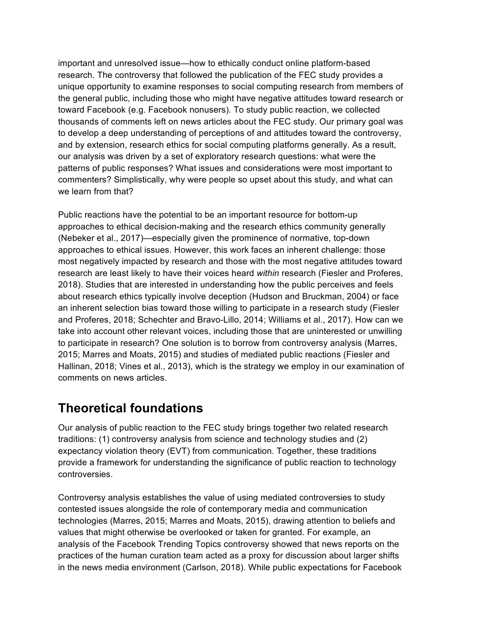important and unresolved issue—how to ethically conduct online platform-based research. The controversy that followed the publication of the FEC study provides a unique opportunity to examine responses to social computing research from members of the general public, including those who might have negative attitudes toward research or toward Facebook (e.g. Facebook nonusers). To study public reaction, we collected thousands of comments left on news articles about the FEC study. Our primary goal was to develop a deep understanding of perceptions of and attitudes toward the controversy, and by extension, research ethics for social computing platforms generally. As a result, our analysis was driven by a set of exploratory research questions: what were the patterns of public responses? What issues and considerations were most important to commenters? Simplistically, why were people so upset about this study, and what can we learn from that?

Public reactions have the potential to be an important resource for bottom-up approaches to ethical decision-making and the research ethics community generally (Nebeker et al., 2017)—especially given the prominence of normative, top-down approaches to ethical issues. However, this work faces an inherent challenge: those most negatively impacted by research and those with the most negative attitudes toward research are least likely to have their voices heard *within* research (Fiesler and Proferes, 2018). Studies that are interested in understanding how the public perceives and feels about research ethics typically involve deception (Hudson and Bruckman, 2004) or face an inherent selection bias toward those willing to participate in a research study (Fiesler and Proferes, 2018; Schechter and Bravo-Lillo, 2014; Williams et al., 2017). How can we take into account other relevant voices, including those that are uninterested or unwilling to participate in research? One solution is to borrow from controversy analysis (Marres, 2015; Marres and Moats, 2015) and studies of mediated public reactions (Fiesler and Hallinan, 2018; Vines et al., 2013), which is the strategy we employ in our examination of comments on news articles.

# **Theoretical foundations**

Our analysis of public reaction to the FEC study brings together two related research traditions: (1) controversy analysis from science and technology studies and (2) expectancy violation theory (EVT) from communication. Together, these traditions provide a framework for understanding the significance of public reaction to technology controversies.

Controversy analysis establishes the value of using mediated controversies to study contested issues alongside the role of contemporary media and communication technologies (Marres, 2015; Marres and Moats, 2015), drawing attention to beliefs and values that might otherwise be overlooked or taken for granted. For example, an analysis of the Facebook Trending Topics controversy showed that news reports on the practices of the human curation team acted as a proxy for discussion about larger shifts in the news media environment (Carlson, 2018). While public expectations for Facebook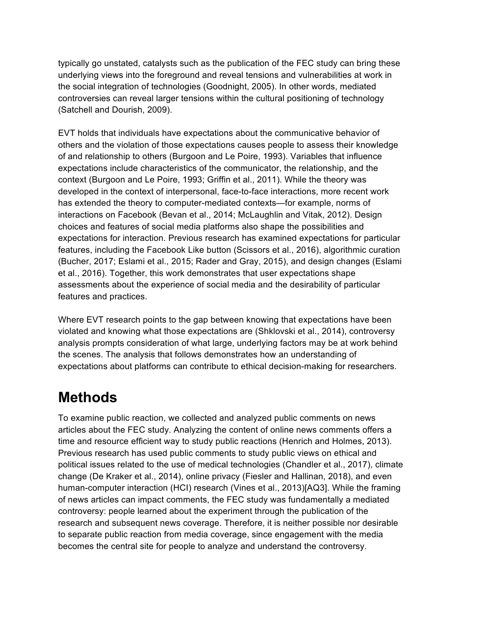typically go unstated, catalysts such as the publication of the FEC study can bring these underlying views into the foreground and reveal tensions and vulnerabilities at work in the social integration of technologies (Goodnight, 2005). In other words, mediated controversies can reveal larger tensions within the cultural positioning of technology (Satchell and Dourish, 2009).

EVT holds that individuals have expectations about the communicative behavior of others and the violation of those expectations causes people to assess their knowledge of and relationship to others (Burgoon and Le Poire, 1993). Variables that influence expectations include characteristics of the communicator, the relationship, and the context (Burgoon and Le Poire, 1993; Griffin et al., 2011). While the theory was developed in the context of interpersonal, face-to-face interactions, more recent work has extended the theory to computer-mediated contexts—for example, norms of interactions on Facebook (Bevan et al., 2014; McLaughlin and Vitak, 2012). Design choices and features of social media platforms also shape the possibilities and expectations for interaction. Previous research has examined expectations for particular features, including the Facebook Like button (Scissors et al., 2016), algorithmic curation (Bucher, 2017; Eslami et al., 2015; Rader and Gray, 2015), and design changes (Eslami et al., 2016). Together, this work demonstrates that user expectations shape assessments about the experience of social media and the desirability of particular features and practices.

Where EVT research points to the gap between knowing that expectations have been violated and knowing what those expectations are (Shklovski et al., 2014), controversy analysis prompts consideration of what large, underlying factors may be at work behind the scenes. The analysis that follows demonstrates how an understanding of expectations about platforms can contribute to ethical decision-making for researchers.

# **Methods**

To examine public reaction, we collected and analyzed public comments on news articles about the FEC study. Analyzing the content of online news comments offers a time and resource efficient way to study public reactions (Henrich and Holmes, 2013). Previous research has used public comments to study public views on ethical and political issues related to the use of medical technologies (Chandler et al., 2017), climate change (De Kraker et al., 2014), online privacy (Fiesler and Hallinan, 2018), and even human-computer interaction (HCI) research (Vines et al., 2013)[AQ3]. While the framing of news articles can impact comments, the FEC study was fundamentally a mediated controversy: people learned about the experiment through the publication of the research and subsequent news coverage. Therefore, it is neither possible nor desirable to separate public reaction from media coverage, since engagement with the media becomes the central site for people to analyze and understand the controversy.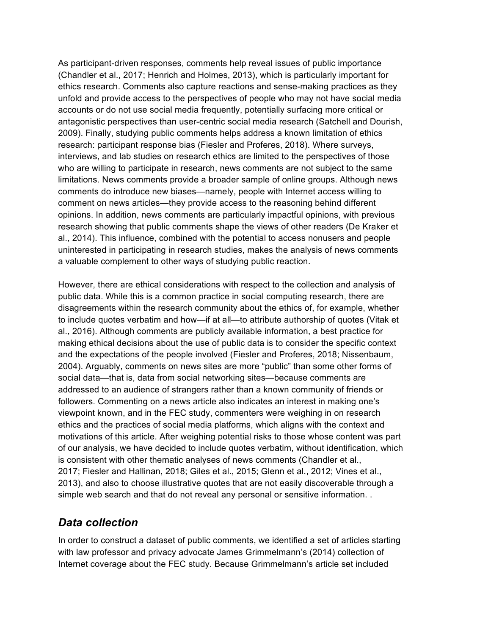As participant-driven responses, comments help reveal issues of public importance (Chandler et al., 2017; Henrich and Holmes, 2013), which is particularly important for ethics research. Comments also capture reactions and sense-making practices as they unfold and provide access to the perspectives of people who may not have social media accounts or do not use social media frequently, potentially surfacing more critical or antagonistic perspectives than user-centric social media research (Satchell and Dourish, 2009). Finally, studying public comments helps address a known limitation of ethics research: participant response bias (Fiesler and Proferes, 2018). Where surveys, interviews, and lab studies on research ethics are limited to the perspectives of those who are willing to participate in research, news comments are not subject to the same limitations. News comments provide a broader sample of online groups. Although news comments do introduce new biases—namely, people with Internet access willing to comment on news articles—they provide access to the reasoning behind different opinions. In addition, news comments are particularly impactful opinions, with previous research showing that public comments shape the views of other readers (De Kraker et al., 2014). This influence, combined with the potential to access nonusers and people uninterested in participating in research studies, makes the analysis of news comments a valuable complement to other ways of studying public reaction.

However, there are ethical considerations with respect to the collection and analysis of public data. While this is a common practice in social computing research, there are disagreements within the research community about the ethics of, for example, whether to include quotes verbatim and how—if at all—to attribute authorship of quotes (Vitak et al., 2016). Although comments are publicly available information, a best practice for making ethical decisions about the use of public data is to consider the specific context and the expectations of the people involved (Fiesler and Proferes, 2018; Nissenbaum, 2004). Arguably, comments on news sites are more "public" than some other forms of social data—that is, data from social networking sites—because comments are addressed to an audience of strangers rather than a known community of friends or followers. Commenting on a news article also indicates an interest in making one's viewpoint known, and in the FEC study, commenters were weighing in on research ethics and the practices of social media platforms, which aligns with the context and motivations of this article. After weighing potential risks to those whose content was part of our analysis, we have decided to include quotes verbatim, without identification, which is consistent with other thematic analyses of news comments (Chandler et al., 2017; Fiesler and Hallinan, 2018; Giles et al., 2015; Glenn et al., 2012; Vines et al., 2013), and also to choose illustrative quotes that are not easily discoverable through a simple web search and that do not reveal any personal or sensitive information. .

#### *Data collection*

In order to construct a dataset of public comments, we identified a set of articles starting with law professor and privacy advocate James Grimmelmann's (2014) collection of Internet coverage about the FEC study. Because Grimmelmann's article set included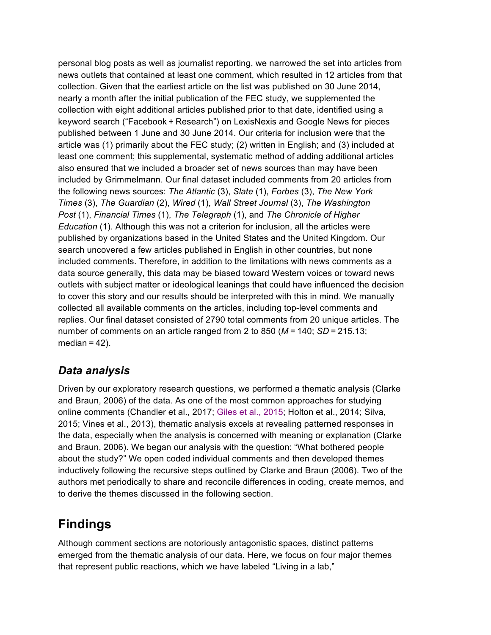personal blog posts as well as journalist reporting, we narrowed the set into articles from news outlets that contained at least one comment, which resulted in 12 articles from that collection. Given that the earliest article on the list was published on 30 June 2014, nearly a month after the initial publication of the FEC study, we supplemented the collection with eight additional articles published prior to that date, identified using a keyword search ("Facebook + Research") on LexisNexis and Google News for pieces published between 1 June and 30 June 2014. Our criteria for inclusion were that the article was (1) primarily about the FEC study; (2) written in English; and (3) included at least one comment; this supplemental, systematic method of adding additional articles also ensured that we included a broader set of news sources than may have been included by Grimmelmann. Our final dataset included comments from 20 articles from the following news sources: *The Atlantic* (3), *Slate* (1), *Forbes* (3), *The New York Times* (3), *The Guardian* (2), *Wired* (1), *Wall Street Journal* (3), *The Washington Post* (1), *Financial Times* (1), *The Telegraph* (1), and *The Chronicle of Higher Education* (1). Although this was not a criterion for inclusion, all the articles were published by organizations based in the United States and the United Kingdom. Our search uncovered a few articles published in English in other countries, but none included comments. Therefore, in addition to the limitations with news comments as a data source generally, this data may be biased toward Western voices or toward news outlets with subject matter or ideological leanings that could have influenced the decision to cover this story and our results should be interpreted with this in mind. We manually collected all available comments on the articles, including top-level comments and replies. Our final dataset consisted of 2790 total comments from 20 unique articles. The number of comments on an article ranged from 2 to 850 (*M* = 140; *SD* = 215.13; median  $= 42$ ).

#### *Data analysis*

Driven by our exploratory research questions, we performed a thematic analysis (Clarke and Braun, 2006) of the data. As one of the most common approaches for studying online comments (Chandler et al., 2017; Giles et al., 2015; Holton et al., 2014; Silva, 2015; Vines et al., 2013), thematic analysis excels at revealing patterned responses in the data, especially when the analysis is concerned with meaning or explanation (Clarke and Braun, 2006). We began our analysis with the question: "What bothered people about the study?" We open coded individual comments and then developed themes inductively following the recursive steps outlined by Clarke and Braun (2006). Two of the authors met periodically to share and reconcile differences in coding, create memos, and to derive the themes discussed in the following section.

# **Findings**

Although comment sections are notoriously antagonistic spaces, distinct patterns emerged from the thematic analysis of our data. Here, we focus on four major themes that represent public reactions, which we have labeled "Living in a lab,"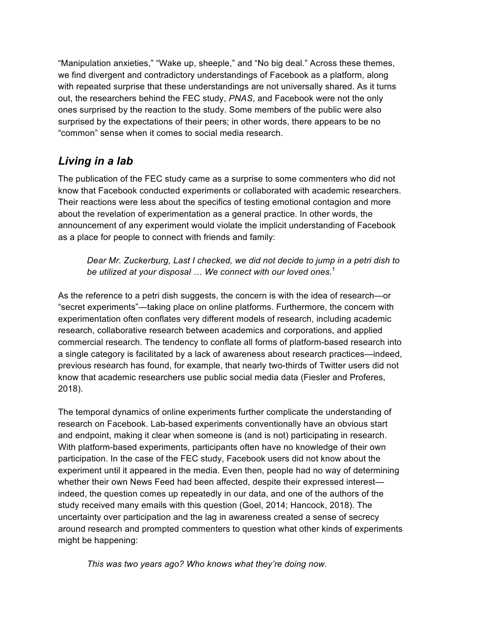"Manipulation anxieties," "Wake up, sheeple," and "No big deal." Across these themes, we find divergent and contradictory understandings of Facebook as a platform, along with repeated surprise that these understandings are not universally shared. As it turns out, the researchers behind the FEC study, *PNAS*, and Facebook were not the only ones surprised by the reaction to the study. Some members of the public were also surprised by the expectations of their peers; in other words, there appears to be no "common" sense when it comes to social media research.

### *Living in a lab*

The publication of the FEC study came as a surprise to some commenters who did not know that Facebook conducted experiments or collaborated with academic researchers. Their reactions were less about the specifics of testing emotional contagion and more about the revelation of experimentation as a general practice. In other words, the announcement of any experiment would violate the implicit understanding of Facebook as a place for people to connect with friends and family:

*Dear Mr. Zuckerburg, Last I checked, we did not decide to jump in a petri dish to be utilized at your disposal … We connect with our loved ones.*<sup>1</sup>

As the reference to a petri dish suggests, the concern is with the idea of research—or "secret experiments"—taking place on online platforms. Furthermore, the concern with experimentation often conflates very different models of research, including academic research, collaborative research between academics and corporations, and applied commercial research. The tendency to conflate all forms of platform-based research into a single category is facilitated by a lack of awareness about research practices—indeed, previous research has found, for example, that nearly two-thirds of Twitter users did not know that academic researchers use public social media data (Fiesler and Proferes, 2018).

The temporal dynamics of online experiments further complicate the understanding of research on Facebook. Lab-based experiments conventionally have an obvious start and endpoint, making it clear when someone is (and is not) participating in research. With platform-based experiments, participants often have no knowledge of their own participation. In the case of the FEC study, Facebook users did not know about the experiment until it appeared in the media. Even then, people had no way of determining whether their own News Feed had been affected, despite their expressed interest indeed, the question comes up repeatedly in our data, and one of the authors of the study received many emails with this question (Goel, 2014; Hancock, 2018). The uncertainty over participation and the lag in awareness created a sense of secrecy around research and prompted commenters to question what other kinds of experiments might be happening:

*This was two years ago? Who knows what they're doing now.*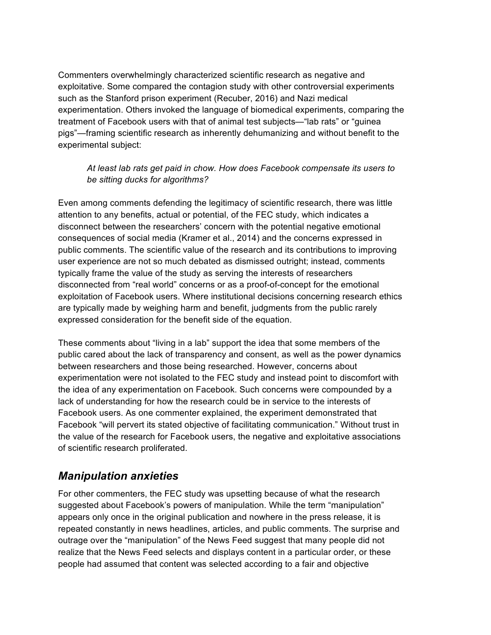Commenters overwhelmingly characterized scientific research as negative and exploitative. Some compared the contagion study with other controversial experiments such as the Stanford prison experiment (Recuber, 2016) and Nazi medical experimentation. Others invoked the language of biomedical experiments, comparing the treatment of Facebook users with that of animal test subjects—"lab rats" or "guinea pigs"—framing scientific research as inherently dehumanizing and without benefit to the experimental subject:

#### *At least lab rats get paid in chow. How does Facebook compensate its users to be sitting ducks for algorithms?*

Even among comments defending the legitimacy of scientific research, there was little attention to any benefits, actual or potential, of the FEC study, which indicates a disconnect between the researchers' concern with the potential negative emotional consequences of social media (Kramer et al., 2014) and the concerns expressed in public comments. The scientific value of the research and its contributions to improving user experience are not so much debated as dismissed outright; instead, comments typically frame the value of the study as serving the interests of researchers disconnected from "real world" concerns or as a proof-of-concept for the emotional exploitation of Facebook users. Where institutional decisions concerning research ethics are typically made by weighing harm and benefit, judgments from the public rarely expressed consideration for the benefit side of the equation.

These comments about "living in a lab" support the idea that some members of the public cared about the lack of transparency and consent, as well as the power dynamics between researchers and those being researched. However, concerns about experimentation were not isolated to the FEC study and instead point to discomfort with the idea of any experimentation on Facebook. Such concerns were compounded by a lack of understanding for how the research could be in service to the interests of Facebook users. As one commenter explained, the experiment demonstrated that Facebook "will pervert its stated objective of facilitating communication." Without trust in the value of the research for Facebook users, the negative and exploitative associations of scientific research proliferated.

#### *Manipulation anxieties*

For other commenters, the FEC study was upsetting because of what the research suggested about Facebook's powers of manipulation. While the term "manipulation" appears only once in the original publication and nowhere in the press release, it is repeated constantly in news headlines, articles, and public comments. The surprise and outrage over the "manipulation" of the News Feed suggest that many people did not realize that the News Feed selects and displays content in a particular order, or these people had assumed that content was selected according to a fair and objective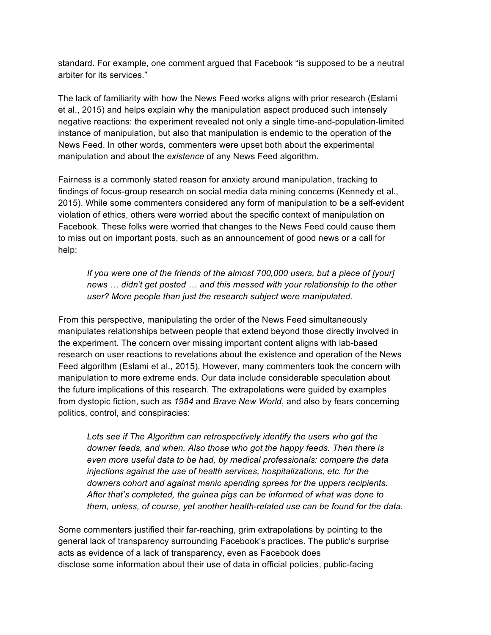standard. For example, one comment argued that Facebook "is supposed to be a neutral arbiter for its services."

The lack of familiarity with how the News Feed works aligns with prior research (Eslami et al., 2015) and helps explain why the manipulation aspect produced such intensely negative reactions: the experiment revealed not only a single time-and-population-limited instance of manipulation, but also that manipulation is endemic to the operation of the News Feed. In other words, commenters were upset both about the experimental manipulation and about the *existence* of any News Feed algorithm.

Fairness is a commonly stated reason for anxiety around manipulation, tracking to findings of focus-group research on social media data mining concerns (Kennedy et al., 2015). While some commenters considered any form of manipulation to be a self-evident violation of ethics, others were worried about the specific context of manipulation on Facebook. These folks were worried that changes to the News Feed could cause them to miss out on important posts, such as an announcement of good news or a call for help:

*If you were one of the friends of the almost 700,000 users, but a piece of [your] news … didn't get posted … and this messed with your relationship to the other user? More people than just the research subject were manipulated.*

From this perspective, manipulating the order of the News Feed simultaneously manipulates relationships between people that extend beyond those directly involved in the experiment. The concern over missing important content aligns with lab-based research on user reactions to revelations about the existence and operation of the News Feed algorithm (Eslami et al., 2015). However, many commenters took the concern with manipulation to more extreme ends. Our data include considerable speculation about the future implications of this research. The extrapolations were guided by examples from dystopic fiction, such as *1984* and *Brave New World*, and also by fears concerning politics, control, and conspiracies:

Lets see if The Algorithm can retrospectively identify the users who got the *downer feeds, and when. Also those who got the happy feeds. Then there is even more useful data to be had, by medical professionals: compare the data injections against the use of health services, hospitalizations, etc. for the downers cohort and against manic spending sprees for the uppers recipients. After that's completed, the guinea pigs can be informed of what was done to them, unless, of course, yet another health-related use can be found for the data.*

Some commenters justified their far-reaching, grim extrapolations by pointing to the general lack of transparency surrounding Facebook's practices. The public's surprise acts as evidence of a lack of transparency, even as Facebook does disclose some information about their use of data in official policies, public-facing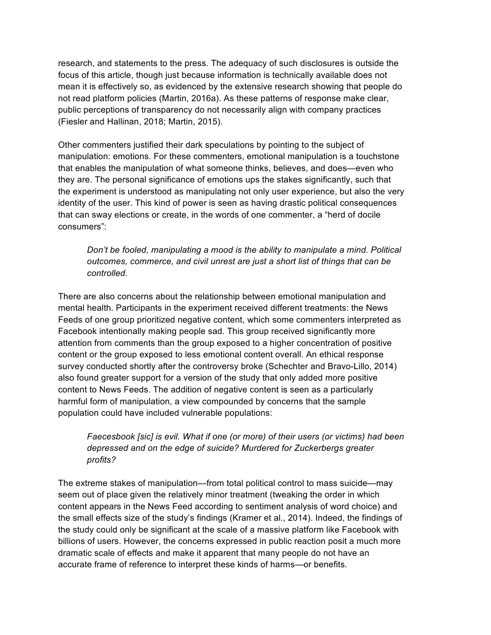research, and statements to the press. The adequacy of such disclosures is outside the focus of this article, though just because information is technically available does not mean it is effectively so, as evidenced by the extensive research showing that people do not read platform policies (Martin, 2016a). As these patterns of response make clear, public perceptions of transparency do not necessarily align with company practices (Fiesler and Hallinan, 2018; Martin, 2015).

Other commenters justified their dark speculations by pointing to the subject of manipulation: emotions. For these commenters, emotional manipulation is a touchstone that enables the manipulation of what someone thinks, believes, and does—even who they are. The personal significance of emotions ups the stakes significantly, such that the experiment is understood as manipulating not only user experience, but also the very identity of the user. This kind of power is seen as having drastic political consequences that can sway elections or create, in the words of one commenter, a "herd of docile consumers":

*Don't be fooled, manipulating a mood is the ability to manipulate a mind. Political outcomes, commerce, and civil unrest are just a short list of things that can be controlled.*

There are also concerns about the relationship between emotional manipulation and mental health. Participants in the experiment received different treatments: the News Feeds of one group prioritized negative content, which some commenters interpreted as Facebook intentionally making people sad. This group received significantly more attention from comments than the group exposed to a higher concentration of positive content or the group exposed to less emotional content overall. An ethical response survey conducted shortly after the controversy broke (Schechter and Bravo-Lillo, 2014) also found greater support for a version of the study that only added more positive content to News Feeds. The addition of negative content is seen as a particularly harmful form of manipulation, a view compounded by concerns that the sample population could have included vulnerable populations:

#### *Faecesbook [sic] is evil. What if one (or more) of their users (or victims) had been depressed and on the edge of suicide? Murdered for Zuckerbergs greater profits?*

The extreme stakes of manipulation—from total political control to mass suicide—may seem out of place given the relatively minor treatment (tweaking the order in which content appears in the News Feed according to sentiment analysis of word choice) and the small effects size of the study's findings (Kramer et al., 2014). Indeed, the findings of the study could only be significant at the scale of a massive platform like Facebook with billions of users. However, the concerns expressed in public reaction posit a much more dramatic scale of effects and make it apparent that many people do not have an accurate frame of reference to interpret these kinds of harms—or benefits.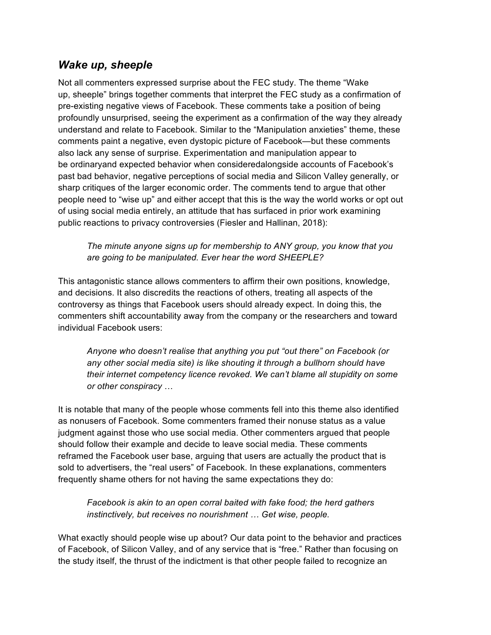#### *Wake up, sheeple*

Not all commenters expressed surprise about the FEC study. The theme "Wake up, sheeple" brings together comments that interpret the FEC study as a confirmation of pre-existing negative views of Facebook. These comments take a position of being profoundly unsurprised, seeing the experiment as a confirmation of the way they already understand and relate to Facebook. Similar to the "Manipulation anxieties" theme, these comments paint a negative, even dystopic picture of Facebook—but these comments also lack any sense of surprise. Experimentation and manipulation appear to be ordinaryand expected behavior when consideredalongside accounts of Facebook's past bad behavior, negative perceptions of social media and Silicon Valley generally, or sharp critiques of the larger economic order. The comments tend to argue that other people need to "wise up" and either accept that this is the way the world works or opt out of using social media entirely, an attitude that has surfaced in prior work examining public reactions to privacy controversies (Fiesler and Hallinan, 2018):

*The minute anyone signs up for membership to ANY group, you know that you are going to be manipulated. Ever hear the word SHEEPLE?*

This antagonistic stance allows commenters to affirm their own positions, knowledge, and decisions. It also discredits the reactions of others, treating all aspects of the controversy as things that Facebook users should already expect. In doing this, the commenters shift accountability away from the company or the researchers and toward individual Facebook users:

*Anyone who doesn't realise that anything you put "out there" on Facebook (or any other social media site) is like shouting it through a bullhorn should have their internet competency licence revoked. We can't blame all stupidity on some or other conspiracy* …

It is notable that many of the people whose comments fell into this theme also identified as nonusers of Facebook. Some commenters framed their nonuse status as a value judgment against those who use social media. Other commenters argued that people should follow their example and decide to leave social media. These comments reframed the Facebook user base, arguing that users are actually the product that is sold to advertisers, the "real users" of Facebook. In these explanations, commenters frequently shame others for not having the same expectations they do:

*Facebook is akin to an open corral baited with fake food; the herd gathers instinctively, but receives no nourishment … Get wise, people.*

What exactly should people wise up about? Our data point to the behavior and practices of Facebook, of Silicon Valley, and of any service that is "free." Rather than focusing on the study itself, the thrust of the indictment is that other people failed to recognize an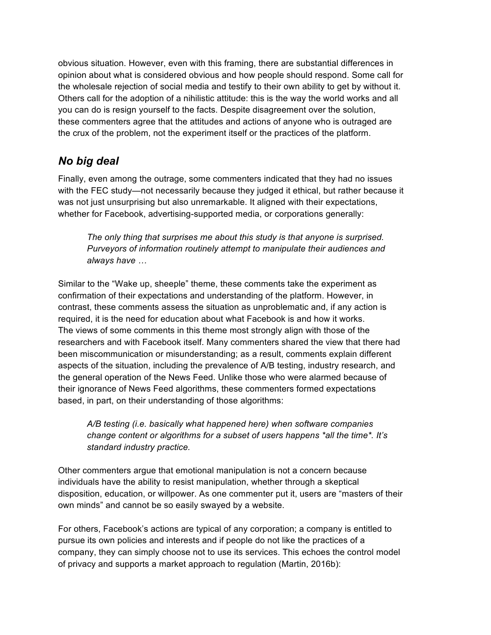obvious situation. However, even with this framing, there are substantial differences in opinion about what is considered obvious and how people should respond. Some call for the wholesale rejection of social media and testify to their own ability to get by without it. Others call for the adoption of a nihilistic attitude: this is the way the world works and all you can do is resign yourself to the facts. Despite disagreement over the solution, these commenters agree that the attitudes and actions of anyone who is outraged are the crux of the problem, not the experiment itself or the practices of the platform.

#### *No big deal*

Finally, even among the outrage, some commenters indicated that they had no issues with the FEC study—not necessarily because they judged it ethical, but rather because it was not just unsurprising but also unremarkable. It aligned with their expectations, whether for Facebook, advertising-supported media, or corporations generally:

*The only thing that surprises me about this study is that anyone is surprised. Purveyors of information routinely attempt to manipulate their audiences and always have …*

Similar to the "Wake up, sheeple" theme, these comments take the experiment as confirmation of their expectations and understanding of the platform. However, in contrast, these comments assess the situation as unproblematic and, if any action is required, it is the need for education about what Facebook is and how it works. The views of some comments in this theme most strongly align with those of the researchers and with Facebook itself. Many commenters shared the view that there had been miscommunication or misunderstanding; as a result, comments explain different aspects of the situation, including the prevalence of A/B testing, industry research, and the general operation of the News Feed. Unlike those who were alarmed because of their ignorance of News Feed algorithms, these commenters formed expectations based, in part, on their understanding of those algorithms:

*A/B testing (i.e. basically what happened here) when software companies change content or algorithms for a subset of users happens \*all the time\*. It's standard industry practice.*

Other commenters argue that emotional manipulation is not a concern because individuals have the ability to resist manipulation, whether through a skeptical disposition, education, or willpower. As one commenter put it, users are "masters of their own minds" and cannot be so easily swayed by a website.

For others, Facebook's actions are typical of any corporation; a company is entitled to pursue its own policies and interests and if people do not like the practices of a company, they can simply choose not to use its services. This echoes the control model of privacy and supports a market approach to regulation (Martin, 2016b):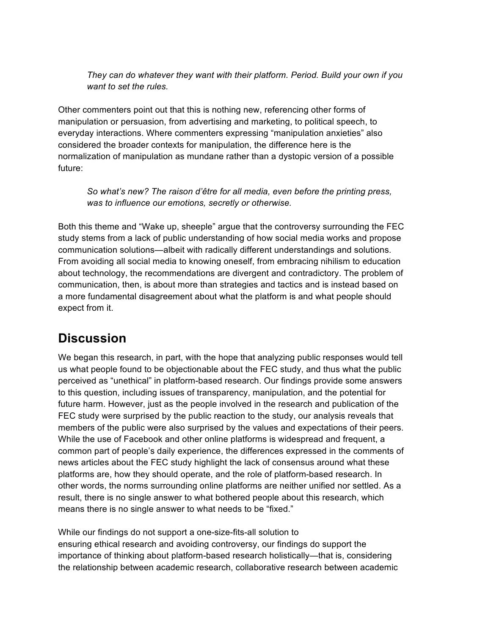*They can do whatever they want with their platform. Period. Build your own if you want to set the rules.*

Other commenters point out that this is nothing new, referencing other forms of manipulation or persuasion, from advertising and marketing, to political speech, to everyday interactions. Where commenters expressing "manipulation anxieties" also considered the broader contexts for manipulation, the difference here is the normalization of manipulation as mundane rather than a dystopic version of a possible future:

*So what's new? The raison d'être for all media, even before the printing press, was to influence our emotions, secretly or otherwise.*

Both this theme and "Wake up, sheeple" argue that the controversy surrounding the FEC study stems from a lack of public understanding of how social media works and propose communication solutions—albeit with radically different understandings and solutions. From avoiding all social media to knowing oneself, from embracing nihilism to education about technology, the recommendations are divergent and contradictory. The problem of communication, then, is about more than strategies and tactics and is instead based on a more fundamental disagreement about what the platform is and what people should expect from it.

# **Discussion**

We began this research, in part, with the hope that analyzing public responses would tell us what people found to be objectionable about the FEC study, and thus what the public perceived as "unethical" in platform-based research. Our findings provide some answers to this question, including issues of transparency, manipulation, and the potential for future harm. However, just as the people involved in the research and publication of the FEC study were surprised by the public reaction to the study, our analysis reveals that members of the public were also surprised by the values and expectations of their peers. While the use of Facebook and other online platforms is widespread and frequent, a common part of people's daily experience, the differences expressed in the comments of news articles about the FEC study highlight the lack of consensus around what these platforms are, how they should operate, and the role of platform-based research. In other words, the norms surrounding online platforms are neither unified nor settled. As a result, there is no single answer to what bothered people about this research, which means there is no single answer to what needs to be "fixed."

While our findings do not support a one-size-fits-all solution to ensuring ethical research and avoiding controversy, our findings do support the importance of thinking about platform-based research holistically—that is, considering the relationship between academic research, collaborative research between academic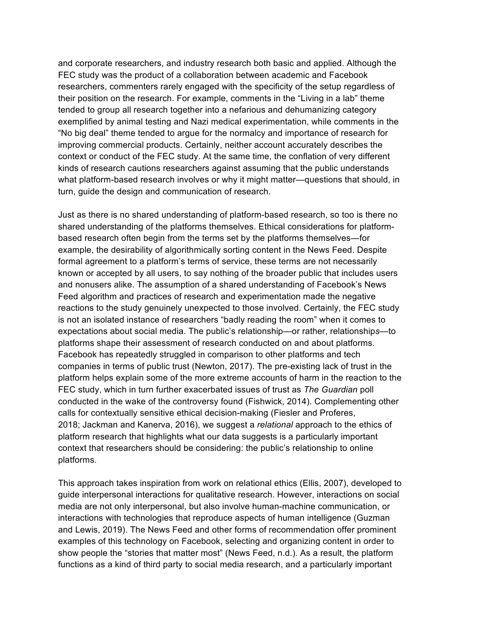and corporate researchers, and industry research both basic and applied. Although the FEC study was the product of a collaboration between academic and Facebook researchers, commenters rarely engaged with the specificity of the setup regardless of their position on the research. For example, comments in the "Living in a lab" theme tended to group all research together into a nefarious and dehumanizing category exemplified by animal testing and Nazi medical experimentation, while comments in the "No big deal" theme tended to argue for the normalcy and importance of research for improving commercial products. Certainly, neither account accurately describes the context or conduct of the FEC study. At the same time, the conflation of very different kinds of research cautions researchers against assuming that the public understands what platform-based research involves or why it might matter—questions that should, in turn, guide the design and communication of research.

Just as there is no shared understanding of platform-based research, so too is there no shared understanding of the platforms themselves. Ethical considerations for platformbased research often begin from the terms set by the platforms themselves—for example, the desirability of algorithmically sorting content in the News Feed. Despite formal agreement to a platform's terms of service, these terms are not necessarily known or accepted by all users, to say nothing of the broader public that includes users and nonusers alike. The assumption of a shared understanding of Facebook's News Feed algorithm and practices of research and experimentation made the negative reactions to the study genuinely unexpected to those involved. Certainly, the FEC study is not an isolated instance of researchers "badly reading the room" when it comes to expectations about social media. The public's relationship—or rather, relationship*s*—to platforms shape their assessment of research conducted on and about platforms. Facebook has repeatedly struggled in comparison to other platforms and tech companies in terms of public trust (Newton, 2017). The pre-existing lack of trust in the platform helps explain some of the more extreme accounts of harm in the reaction to the FEC study, which in turn further exacerbated issues of trust as *The Guardian* poll conducted in the wake of the controversy found (Fishwick, 2014). Complementing other calls for contextually sensitive ethical decision-making (Fiesler and Proferes, 2018; Jackman and Kanerva, 2016), we suggest a *relational* approach to the ethics of platform research that highlights what our data suggests is a particularly important context that researchers should be considering: the public's relationship to online platforms.

This approach takes inspiration from work on relational ethics (Ellis, 2007), developed to guide interpersonal interactions for qualitative research. However, interactions on social media are not only interpersonal, but also involve human-machine communication, or interactions with technologies that reproduce aspects of human intelligence (Guzman and Lewis, 2019). The News Feed and other forms of recommendation offer prominent examples of this technology on Facebook, selecting and organizing content in order to show people the "stories that matter most" (News Feed, n.d.). As a result, the platform functions as a kind of third party to social media research, and a particularly important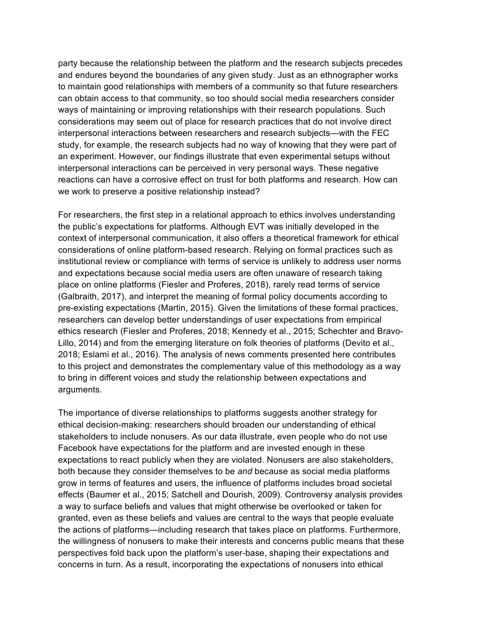party because the relationship between the platform and the research subjects precedes and endures beyond the boundaries of any given study. Just as an ethnographer works to maintain good relationships with members of a community so that future researchers can obtain access to that community, so too should social media researchers consider ways of maintaining or improving relationships with their research populations. Such considerations may seem out of place for research practices that do not involve direct interpersonal interactions between researchers and research subjects—with the FEC study, for example, the research subjects had no way of knowing that they were part of an experiment. However, our findings illustrate that even experimental setups without interpersonal interactions can be perceived in very personal ways. These negative reactions can have a corrosive effect on trust for both platforms and research. How can we work to preserve a positive relationship instead?

For researchers, the first step in a relational approach to ethics involves understanding the public's expectations for platforms. Although EVT was initially developed in the context of interpersonal communication, it also offers a theoretical framework for ethical considerations of online platform-based research. Relying on formal practices such as institutional review or compliance with terms of service is unlikely to address user norms and expectations because social media users are often unaware of research taking place on online platforms (Fiesler and Proferes, 2018), rarely read terms of service (Galbraith, 2017), and interpret the meaning of formal policy documents according to pre-existing expectations (Martin, 2015). Given the limitations of these formal practices, researchers can develop better understandings of user expectations from empirical ethics research (Fiesler and Proferes, 2018; Kennedy et al., 2015; Schechter and Bravo-Lillo, 2014) and from the emerging literature on folk theories of platforms (Devito et al., 2018; Eslami et al., 2016). The analysis of news comments presented here contributes to this project and demonstrates the complementary value of this methodology as a way to bring in different voices and study the relationship between expectations and arguments.

The importance of diverse relationships to platforms suggests another strategy for ethical decision-making: researchers should broaden our understanding of ethical stakeholders to include nonusers. As our data illustrate, even people who do not use Facebook have expectations for the platform and are invested enough in these expectations to react publicly when they are violated. Nonusers are also stakeholders, both because they consider themselves to be *and* because as social media platforms grow in terms of features and users, the influence of platforms includes broad societal effects (Baumer et al., 2015; Satchell and Dourish, 2009). Controversy analysis provides a way to surface beliefs and values that might otherwise be overlooked or taken for granted, even as these beliefs and values are central to the ways that people evaluate the actions of platforms—including research that takes place on platforms. Furthermore, the willingness of nonusers to make their interests and concerns public means that these perspectives fold back upon the platform's user-base, shaping their expectations and concerns in turn. As a result, incorporating the expectations of nonusers into ethical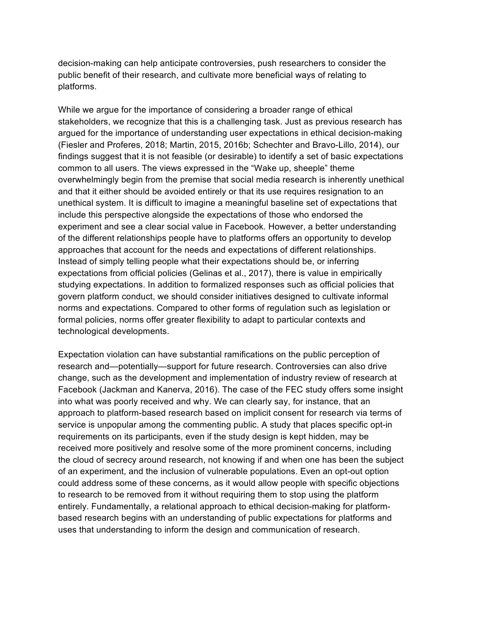decision-making can help anticipate controversies, push researchers to consider the public benefit of their research, and cultivate more beneficial ways of relating to platforms.

While we argue for the importance of considering a broader range of ethical stakeholders, we recognize that this is a challenging task. Just as previous research has argued for the importance of understanding user expectations in ethical decision-making (Fiesler and Proferes, 2018; Martin, 2015, 2016b; Schechter and Bravo-Lillo, 2014), our findings suggest that it is not feasible (or desirable) to identify a set of basic expectations common to all users. The views expressed in the "Wake up, sheeple" theme overwhelmingly begin from the premise that social media research is inherently unethical and that it either should be avoided entirely or that its use requires resignation to an unethical system. It is difficult to imagine a meaningful baseline set of expectations that include this perspective alongside the expectations of those who endorsed the experiment and see a clear social value in Facebook. However, a better understanding of the different relationships people have to platforms offers an opportunity to develop approaches that account for the needs and expectations of different relationships. Instead of simply telling people what their expectations should be, or inferring expectations from official policies (Gelinas et al., 2017), there is value in empirically studying expectations. In addition to formalized responses such as official policies that govern platform conduct, we should consider initiatives designed to cultivate informal norms and expectations. Compared to other forms of regulation such as legislation or formal policies, norms offer greater flexibility to adapt to particular contexts and technological developments.

Expectation violation can have substantial ramifications on the public perception of research and—potentially—support for future research. Controversies can also drive change, such as the development and implementation of industry review of research at Facebook (Jackman and Kanerva, 2016). The case of the FEC study offers some insight into what was poorly received and why. We can clearly say, for instance, that an approach to platform-based research based on implicit consent for research via terms of service is unpopular among the commenting public. A study that places specific opt-in requirements on its participants, even if the study design is kept hidden, may be received more positively and resolve some of the more prominent concerns, including the cloud of secrecy around research, not knowing if and when one has been the subject of an experiment, and the inclusion of vulnerable populations. Even an opt-out option could address some of these concerns, as it would allow people with specific objections to research to be removed from it without requiring them to stop using the platform entirely. Fundamentally, a relational approach to ethical decision-making for platformbased research begins with an understanding of public expectations for platforms and uses that understanding to inform the design and communication of research.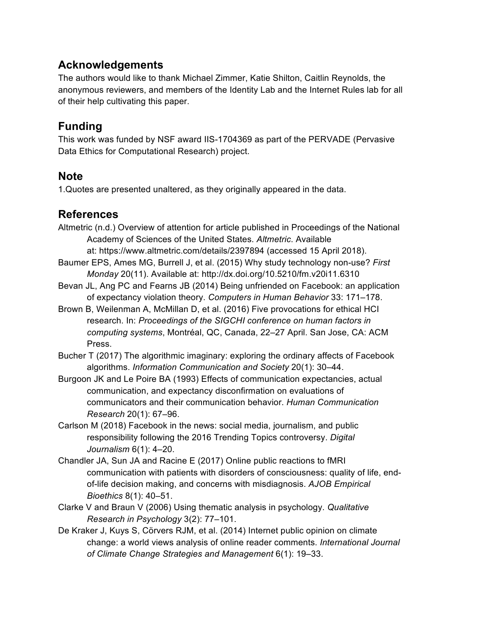#### **Acknowledgements**

The authors would like to thank Michael Zimmer, Katie Shilton, Caitlin Reynolds, the anonymous reviewers, and members of the Identity Lab and the Internet Rules lab for all of their help cultivating this paper.

#### **Funding**

This work was funded by NSF award IIS-1704369 as part of the PERVADE (Pervasive Data Ethics for Computational Research) project.

#### **Note**

1.Quotes are presented unaltered, as they originally appeared in the data.

#### **References**

- Altmetric (n.d.) Overview of attention for article published in Proceedings of the National Academy of Sciences of the United States. *Altmetric*. Available at: https://www.altmetric.com/details/2397894 (accessed 15 April 2018).
- Baumer EPS, Ames MG, Burrell J, et al. (2015) Why study technology non-use? *First Monday* 20(11). Available at: http://dx.doi.org/10.5210/fm.v20i11.6310
- Bevan JL, Ang PC and Fearns JB (2014) Being unfriended on Facebook: an application of expectancy violation theory. *Computers in Human Behavior* 33: 171–178.
- Brown B, Weilenman A, McMillan D, et al. (2016) Five provocations for ethical HCI research. In: *Proceedings of the SIGCHI conference on human factors in computing systems*, Montréal, QC, Canada, 22–27 April. San Jose, CA: ACM Press.
- Bucher T (2017) The algorithmic imaginary: exploring the ordinary affects of Facebook algorithms. *Information Communication and Society* 20(1): 30–44.
- Burgoon JK and Le Poire BA (1993) Effects of communication expectancies, actual communication, and expectancy disconfirmation on evaluations of communicators and their communication behavior. *Human Communication Research* 20(1): 67–96.
- Carlson M (2018) Facebook in the news: social media, journalism, and public responsibility following the 2016 Trending Topics controversy. *Digital Journalism* 6(1): 4–20.
- Chandler JA, Sun JA and Racine E (2017) Online public reactions to fMRI communication with patients with disorders of consciousness: quality of life, endof-life decision making, and concerns with misdiagnosis. *AJOB Empirical Bioethics* 8(1): 40–51.
- Clarke V and Braun V (2006) Using thematic analysis in psychology. *Qualitative Research in Psychology* 3(2): 77–101.
- De Kraker J, Kuys S, Cörvers RJM, et al. (2014) Internet public opinion on climate change: a world views analysis of online reader comments. *International Journal of Climate Change Strategies and Management* 6(1): 19–33.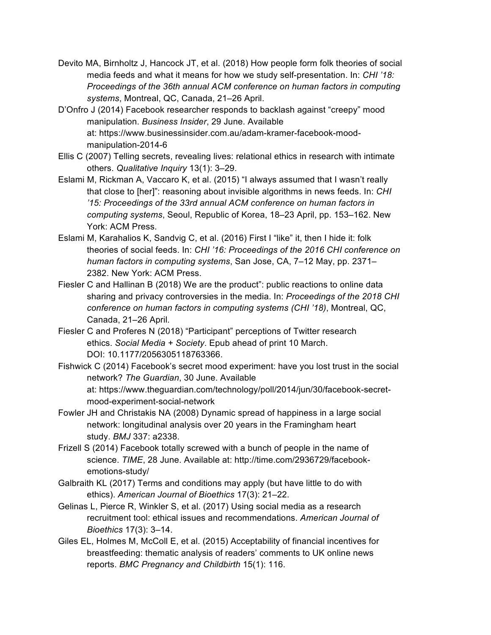- Devito MA, Birnholtz J, Hancock JT, et al. (2018) How people form folk theories of social media feeds and what it means for how we study self-presentation. In: *CHI '18: Proceedings of the 36th annual ACM conference on human factors in computing systems*, Montreal, QC, Canada, 21–26 April.
- D'Onfro J (2014) Facebook researcher responds to backlash against "creepy" mood manipulation. *Business Insider*, 29 June. Available at: https://www.businessinsider.com.au/adam-kramer-facebook-moodmanipulation-2014-6
- Ellis C (2007) Telling secrets, revealing lives: relational ethics in research with intimate others. *Qualitative Inquiry* 13(1): 3–29.
- Eslami M, Rickman A, Vaccaro K, et al. (2015) "I always assumed that I wasn't really that close to [her]": reasoning about invisible algorithms in news feeds. In: *CHI '15: Proceedings of the 33rd annual ACM conference on human factors in computing systems*, Seoul, Republic of Korea, 18–23 April, pp. 153–162. New York: ACM Press.
- Eslami M, Karahalios K, Sandvig C, et al. (2016) First I "like" it, then I hide it: folk theories of social feeds. In: *CHI '16: Proceedings of the 2016 CHI conference on human factors in computing systems*, San Jose, CA, 7–12 May, pp. 2371– 2382. New York: ACM Press.
- Fiesler C and Hallinan B (2018) We are the product": public reactions to online data sharing and privacy controversies in the media. In: *Proceedings of the 2018 CHI conference on human factors in computing systems (CHI '18)*, Montreal, QC, Canada, 21–26 April.
- Fiesler C and Proferes N (2018) "Participant" perceptions of Twitter research ethics. *Social Media + Society*. Epub ahead of print 10 March. DOI: 10.1177/2056305118763366.
- Fishwick C (2014) Facebook's secret mood experiment: have you lost trust in the social network? *The Guardian*, 30 June. Available at: https://www.theguardian.com/technology/poll/2014/jun/30/facebook-secretmood-experiment-social-network
- Fowler JH and Christakis NA (2008) Dynamic spread of happiness in a large social network: longitudinal analysis over 20 years in the Framingham heart study. *BMJ* 337: a2338.
- Frizell S (2014) Facebook totally screwed with a bunch of people in the name of science. *TIME*, 28 June. Available at: http://time.com/2936729/facebookemotions-study/
- Galbraith KL (2017) Terms and conditions may apply (but have little to do with ethics). *American Journal of Bioethics* 17(3): 21–22.
- Gelinas L, Pierce R, Winkler S, et al. (2017) Using social media as a research recruitment tool: ethical issues and recommendations. *American Journal of Bioethics* 17(3): 3–14.
- Giles EL, Holmes M, McColl E, et al. (2015) Acceptability of financial incentives for breastfeeding: thematic analysis of readers' comments to UK online news reports. *BMC Pregnancy and Childbirth* 15(1): 116.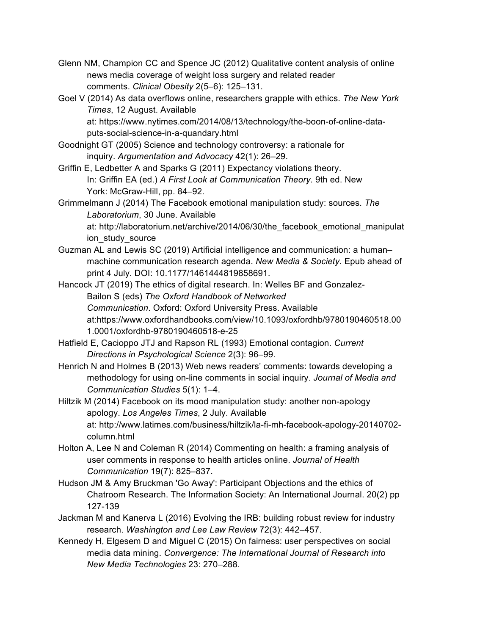- Glenn NM, Champion CC and Spence JC (2012) Qualitative content analysis of online news media coverage of weight loss surgery and related reader comments. *Clinical Obesity* 2(5–6): 125–131.
- Goel V (2014) As data overflows online, researchers grapple with ethics. *The New York Times*, 12 August. Available
	- at: https://www.nytimes.com/2014/08/13/technology/the-boon-of-online-dataputs-social-science-in-a-quandary.html
- Goodnight GT (2005) Science and technology controversy: a rationale for inquiry. *Argumentation and Advocacy* 42(1): 26–29.
- Griffin E, Ledbetter A and Sparks G (2011) Expectancy violations theory. In: Griffin EA (ed.) *A First Look at Communication Theory*. 9th ed. New York: McGraw-Hill, pp. 84–92.
- Grimmelmann J (2014) The Facebook emotional manipulation study: sources. *The Laboratorium*, 30 June. Available

at: http://laboratorium.net/archive/2014/06/30/the\_facebook\_emotional\_manipulat ion\_study\_source

Guzman AL and Lewis SC (2019) Artificial intelligence and communication: a human– machine communication research agenda. *New Media & Society*. Epub ahead of print 4 July. DOI: 10.1177/1461444819858691.

Hancock JT (2019) The ethics of digital research. In: Welles BF and Gonzalez-Bailon S (eds) *The Oxford Handbook of Networked Communication*. Oxford: Oxford University Press. Available at:https://www.oxfordhandbooks.com/view/10.1093/oxfordhb/9780190460518.00 1.0001/oxfordhb-9780190460518-e-25

- Hatfield E, Cacioppo JTJ and Rapson RL (1993) Emotional contagion. *Current Directions in Psychological Science* 2(3): 96–99.
- Henrich N and Holmes B (2013) Web news readers' comments: towards developing a methodology for using on-line comments in social inquiry. *Journal of Media and Communication Studies* 5(1): 1–4.
- Hiltzik M (2014) Facebook on its mood manipulation study: another non-apology apology. *Los Angeles Times*, 2 July. Available at: http://www.latimes.com/business/hiltzik/la-fi-mh-facebook-apology-20140702 column.html
- Holton A, Lee N and Coleman R (2014) Commenting on health: a framing analysis of user comments in response to health articles online. *Journal of Health Communication* 19(7): 825–837.
- Hudson JM & Amy Bruckman 'Go Away': Participant Objections and the ethics of Chatroom Research. The Information Society: An International Journal. 20(2) pp 127-139
- Jackman M and Kanerva L (2016) Evolving the IRB: building robust review for industry research. *Washington and Lee Law Review* 72(3): 442–457.
- Kennedy H, Elgesem D and Miguel C (2015) On fairness: user perspectives on social media data mining. *Convergence: The International Journal of Research into New Media Technologies* 23: 270–288.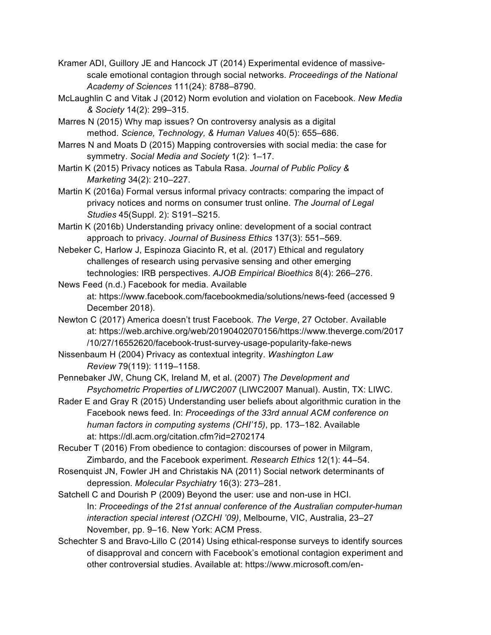- Kramer ADI, Guillory JE and Hancock JT (2014) Experimental evidence of massivescale emotional contagion through social networks. *Proceedings of the National Academy of Sciences* 111(24): 8788–8790.
- McLaughlin C and Vitak J (2012) Norm evolution and violation on Facebook. *New Media & Society* 14(2): 299–315.
- Marres N (2015) Why map issues? On controversy analysis as a digital method. *Science, Technology, & Human Values* 40(5): 655–686.
- Marres N and Moats D (2015) Mapping controversies with social media: the case for symmetry. *Social Media and Society* 1(2): 1–17.
- Martin K (2015) Privacy notices as Tabula Rasa. *Journal of Public Policy & Marketing* 34(2): 210–227.
- Martin K (2016a) Formal versus informal privacy contracts: comparing the impact of privacy notices and norms on consumer trust online. *The Journal of Legal Studies* 45(Suppl. 2): S191–S215.
- Martin K (2016b) Understanding privacy online: development of a social contract approach to privacy. *Journal of Business Ethics* 137(3): 551–569.
- Nebeker C, Harlow J, Espinoza Giacinto R, et al. (2017) Ethical and regulatory challenges of research using pervasive sensing and other emerging technologies: IRB perspectives. *AJOB Empirical Bioethics* 8(4): 266–276.
- News Feed (n.d.) Facebook for media. Available at: https://www.facebook.com/facebookmedia/solutions/news-feed (accessed 9 December 2018).
- Newton C (2017) America doesn't trust Facebook. *The Verge*, 27 October. Available at: https://web.archive.org/web/20190402070156/https://www.theverge.com/2017 /10/27/16552620/facebook-trust-survey-usage-popularity-fake-news
- Nissenbaum H (2004) Privacy as contextual integrity. *Washington Law Review* 79(119): 1119–1158.
- Pennebaker JW, Chung CK, Ireland M, et al. (2007) *The Development and Psychometric Properties of LIWC2007* (LIWC2007 Manual). Austin, TX: LIWC.
- Rader E and Gray R (2015) Understanding user beliefs about algorithmic curation in the Facebook news feed. In: *Proceedings of the 33rd annual ACM conference on human factors in computing systems (CHI'15)*, pp. 173–182. Available at: https://dl.acm.org/citation.cfm?id=2702174
- Recuber T (2016) From obedience to contagion: discourses of power in Milgram, Zimbardo, and the Facebook experiment. *Research Ethics* 12(1): 44–54.
- Rosenquist JN, Fowler JH and Christakis NA (2011) Social network determinants of depression. *Molecular Psychiatry* 16(3): 273–281.
- Satchell C and Dourish P (2009) Beyond the user: use and non-use in HCI. In: *Proceedings of the 21st annual conference of the Australian computer-human interaction special interest (OZCHI '09)*, Melbourne, VIC, Australia, 23–27 November, pp. 9–16. New York: ACM Press.
- Schechter S and Bravo-Lillo C (2014) Using ethical-response surveys to identify sources of disapproval and concern with Facebook's emotional contagion experiment and other controversial studies. Available at: https://www.microsoft.com/en-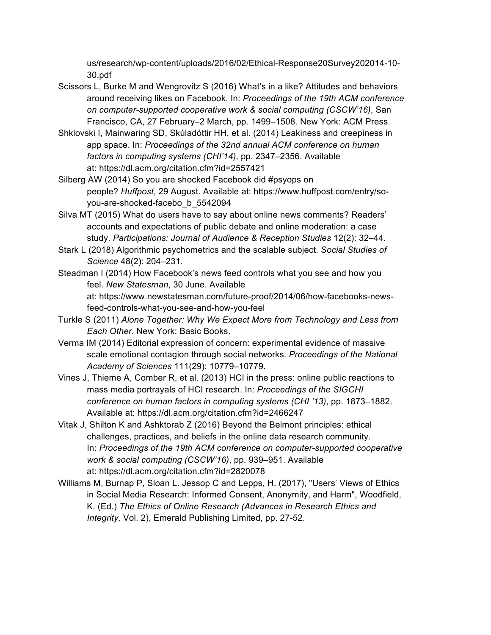us/research/wp-content/uploads/2016/02/Ethical-Response20Survey202014-10- 30.pdf

- Scissors L, Burke M and Wengrovitz S (2016) What's in a like? Attitudes and behaviors around receiving likes on Facebook. In: *Proceedings of the 19th ACM conference on computer-supported cooperative work & social computing (CSCW'16)*, San Francisco, CA, 27 February–2 March, pp. 1499–1508. New York: ACM Press.
- Shklovski I, Mainwaring SD, Skúladóttir HH, et al. (2014) Leakiness and creepiness in app space. In: *Proceedings of the 32nd annual ACM conference on human factors in computing systems (CHI'14)*, pp. 2347–2356. Available at: https://dl.acm.org/citation.cfm?id=2557421
- Silberg AW (2014) So you are shocked Facebook did #psyops on people? *Huffpost*, 29 August. Available at: https://www.huffpost.com/entry/soyou-are-shocked-facebo\_b\_5542094
- Silva MT (2015) What do users have to say about online news comments? Readers' accounts and expectations of public debate and online moderation: a case study. *Participations: Journal of Audience & Reception Studies* 12(2): 32–44.
- Stark L (2018) Algorithmic psychometrics and the scalable subject. *Social Studies of Science* 48(2): 204–231.
- Steadman I (2014) How Facebook's news feed controls what you see and how you feel. *New Statesman*, 30 June. Available at: https://www.newstatesman.com/future-proof/2014/06/how-facebooks-newsfeed-controls-what-you-see-and-how-you-feel
- Turkle S (2011) *Alone Together: Why We Expect More from Technology and Less from Each Other*. New York: Basic Books.
- Verma IM (2014) Editorial expression of concern: experimental evidence of massive scale emotional contagion through social networks. *Proceedings of the National Academy of Sciences* 111(29): 10779–10779.
- Vines J, Thieme A, Comber R, et al. (2013) HCI in the press: online public reactions to mass media portrayals of HCI research. In: *Proceedings of the SIGCHI conference on human factors in computing systems (CHI '13)*, pp. 1873–1882. Available at: https://dl.acm.org/citation.cfm?id=2466247
- Vitak J, Shilton K and Ashktorab Z (2016) Beyond the Belmont principles: ethical challenges, practices, and beliefs in the online data research community. In: *Proceedings of the 19th ACM conference on computer-supported cooperative work & social computing (CSCW'16)*, pp. 939–951. Available at: https://dl.acm.org/citation.cfm?id=2820078
- Williams M, Burnap P, Sloan L. Jessop C and Lepps, H. (2017), "Users' Views of Ethics in Social Media Research: Informed Consent, Anonymity, and Harm", Woodfield, K. (Ed.) *The Ethics of Online Research (Advances in Research Ethics and Integrity,* Vol. 2), Emerald Publishing Limited, pp. 27-52.